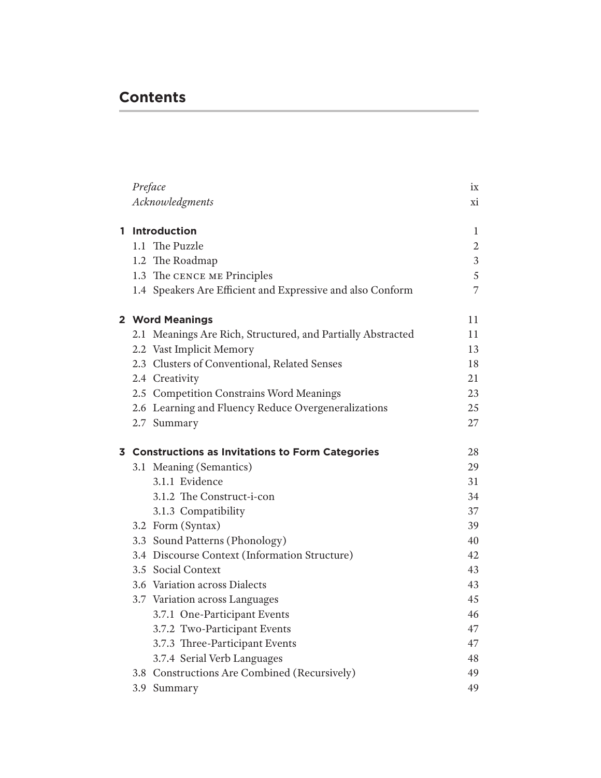## **Contents**

|   | Preface                                           |                                                             | ix             |  |  |
|---|---------------------------------------------------|-------------------------------------------------------------|----------------|--|--|
|   |                                                   | Acknowledgments                                             | xi             |  |  |
|   |                                                   |                                                             |                |  |  |
| 1 |                                                   | <b>Introduction</b>                                         | 1              |  |  |
|   |                                                   | 1.1 The Puzzle                                              | $\overline{2}$ |  |  |
|   |                                                   | 1.2 The Roadmap                                             | $\mathfrak{Z}$ |  |  |
|   |                                                   | 1.3 The CENCE ME Principles                                 | 5              |  |  |
|   |                                                   | 1.4 Speakers Are Efficient and Expressive and also Conform  | 7              |  |  |
|   | 2 Word Meanings                                   |                                                             |                |  |  |
|   |                                                   | 2.1 Meanings Are Rich, Structured, and Partially Abstracted | 11             |  |  |
|   |                                                   | 2.2 Vast Implicit Memory                                    | 13             |  |  |
|   |                                                   | 2.3 Clusters of Conventional, Related Senses                | 18             |  |  |
|   |                                                   | 2.4 Creativity                                              | 21             |  |  |
|   |                                                   | 2.5 Competition Constrains Word Meanings                    | 23             |  |  |
|   |                                                   | 2.6 Learning and Fluency Reduce Overgeneralizations         | 25             |  |  |
|   |                                                   | 2.7 Summary                                                 | 27             |  |  |
|   | 3 Constructions as Invitations to Form Categories |                                                             |                |  |  |
|   |                                                   | 3.1 Meaning (Semantics)                                     | 28<br>29       |  |  |
|   |                                                   | 3.1.1 Evidence                                              | 31             |  |  |
|   |                                                   | 3.1.2 The Construct-i-con                                   | 34             |  |  |
|   |                                                   | 3.1.3 Compatibility                                         | 37             |  |  |
|   |                                                   | 3.2 Form (Syntax)                                           | 39             |  |  |
|   |                                                   | 3.3 Sound Patterns (Phonology)                              | 40             |  |  |
|   |                                                   | 3.4 Discourse Context (Information Structure)               | 42             |  |  |
|   |                                                   | 3.5 Social Context                                          | 43             |  |  |
|   |                                                   | 3.6 Variation across Dialects                               | 43             |  |  |
|   |                                                   | 3.7 Variation across Languages                              | 45             |  |  |
|   |                                                   | 3.7.1 One-Participant Events                                | 46             |  |  |
|   |                                                   | 3.7.2 Two-Participant Events                                | 47             |  |  |
|   |                                                   | 3.7.3 Three-Participant Events                              | 47             |  |  |
|   |                                                   | 3.7.4 Serial Verb Languages                                 | 48             |  |  |
|   |                                                   | 3.8 Constructions Are Combined (Recursively)                | 49             |  |  |
|   |                                                   | 3.9 Summary                                                 | 49             |  |  |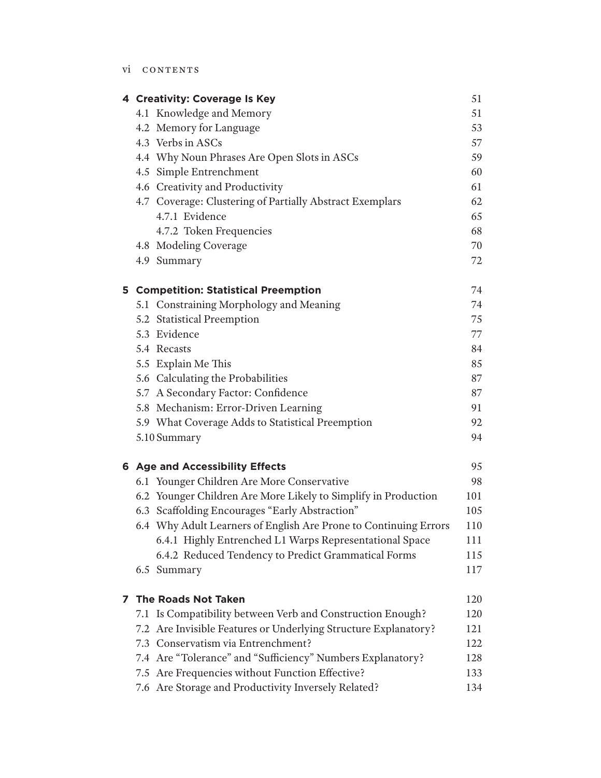|   | 4 Creativity: Coverage Is Key                                    | 51  |
|---|------------------------------------------------------------------|-----|
|   | 4.1 Knowledge and Memory                                         | 51  |
|   | 4.2 Memory for Language                                          | 53  |
|   | 4.3 Verbs in ASCs                                                | 57  |
|   | 4.4 Why Noun Phrases Are Open Slots in ASCs                      | 59  |
|   | 4.5 Simple Entrenchment                                          | 60  |
|   | 4.6 Creativity and Productivity                                  | 61  |
|   | 4.7 Coverage: Clustering of Partially Abstract Exemplars         | 62  |
|   | 4.7.1 Evidence                                                   | 65  |
|   | 4.7.2 Token Frequencies                                          | 68  |
|   | 4.8 Modeling Coverage                                            | 70  |
|   | 4.9 Summary                                                      | 72  |
|   | <b>5 Competition: Statistical Preemption</b>                     | 74  |
|   | 5.1 Constraining Morphology and Meaning                          | 74  |
|   | 5.2 Statistical Preemption                                       | 75  |
|   | 5.3 Evidence                                                     | 77  |
|   | 5.4 Recasts                                                      | 84  |
|   | 5.5 Explain Me This                                              | 85  |
|   | 5.6 Calculating the Probabilities                                | 87  |
|   | 5.7 A Secondary Factor: Confidence                               | 87  |
|   | 5.8 Mechanism: Error-Driven Learning                             | 91  |
|   | 5.9 What Coverage Adds to Statistical Preemption                 | 92  |
|   | 5.10 Summary                                                     | 94  |
|   | <b>6 Age and Accessibility Effects</b>                           | 95  |
|   | 6.1 Younger Children Are More Conservative                       | 98  |
|   | 6.2 Younger Children Are More Likely to Simplify in Production   | 101 |
|   | 6.3 Scaffolding Encourages "Early Abstraction"                   | 105 |
|   | 6.4 Why Adult Learners of English Are Prone to Continuing Errors | 110 |
|   | 6.4.1 Highly Entrenched L1 Warps Representational Space          | 111 |
|   | 6.4.2 Reduced Tendency to Predict Grammatical Forms              | 115 |
|   | 6.5 Summary                                                      | 117 |
| 7 | <b>The Roads Not Taken</b>                                       | 120 |
|   | 7.1 Is Compatibility between Verb and Construction Enough?       | 120 |
|   | 7.2 Are Invisible Features or Underlying Structure Explanatory?  | 121 |
|   | 7.3 Conservatism via Entrenchment?                               | 122 |
|   | 7.4 Are "Tolerance" and "Sufficiency" Numbers Explanatory?       | 128 |
|   | 7.5 Are Frequencies without Function Effective?                  | 133 |
|   | 7.6 Are Storage and Productivity Inversely Related?              | 134 |